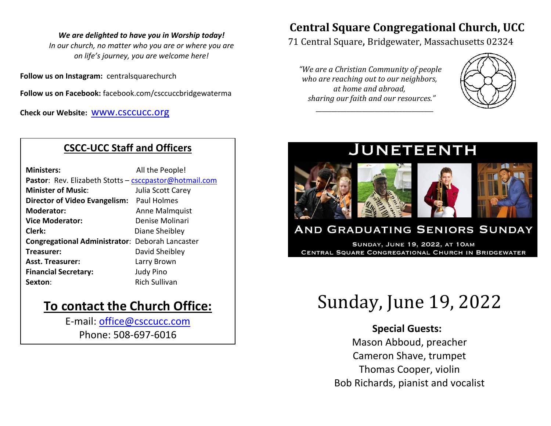#### *We are delighted to have you in Worship today!*

*In our church, no matter who you are or where you are on life's journey, you are welcome here!*

**Follow us on Instagram:** centralsquarechurch

**Follow us on Facebook:** facebook.com/csccuccbridgewaterma

**Check our Website:** [www.csccucc.org](about:blank)

## **CSCC-UCC Staff and Officers**

| <b>Ministers:</b>                                      | All the People!      |  |  |
|--------------------------------------------------------|----------------------|--|--|
| Pastor: Rev. Elizabeth Stotts - csccpastor@hotmail.com |                      |  |  |
| <b>Minister of Music:</b>                              | Julia Scott Carey    |  |  |
| Director of Video Evangelism: Paul Holmes              |                      |  |  |
| <b>Moderator:</b>                                      | Anne Malmquist       |  |  |
| <b>Vice Moderator:</b>                                 | Denise Molinari      |  |  |
| Clerk:                                                 | Diane Sheibley       |  |  |
| <b>Congregational Administrator: Deborah Lancaster</b> |                      |  |  |
| Treasurer:                                             | David Sheibley       |  |  |
| <b>Asst. Treasurer:</b>                                | Larry Brown          |  |  |
| <b>Financial Secretary:</b>                            | <b>Judy Pino</b>     |  |  |
| Sexton:                                                | <b>Rich Sullivan</b> |  |  |

## **To contact the Church Office:**

E-mail: [office@csccucc.com](mailto:office@csccucc.com) Phone: 508-697-6016

## **Central Square Congregational Church, UCC**

71 Central Square, Bridgewater, Massachusetts 02324

*"We are a Christian Community of people who are reaching out to our neighbors, at home and abroad, sharing our faith and our resources."*

*\_\_\_\_\_\_\_\_\_\_\_\_\_\_\_\_\_\_\_\_\_\_\_\_\_\_\_\_\_\_\_\_\_\_\_\_\_\_*



# **JUNETEENTH**



## **AND GRADUATING SENIORS SUNDAY**

**SUNDAY, JUNE 19, 2022, AT 10AM** CENTRAL SQUARE CONGREGATIONAL CHURCH IN BRIDGEWATER

# Sunday, June 19, 2022

### **Special Guests:**

Mason Abboud, preacher Cameron Shave, trumpet Thomas Cooper, violin Bob Richards, pianist and vocalist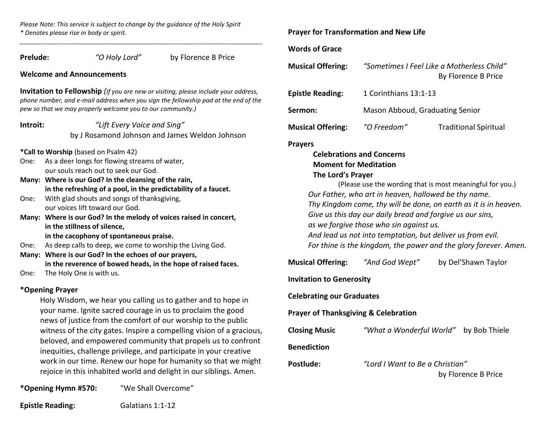*Please Note: This service is subject to change by the guidance of the Holy Spirit \* Denotes please rise in body or spirit.*

| Prelude: | "O Holy Lord"                                                                                      | by Florence B Price                                                                                                                                                              |  |
|----------|----------------------------------------------------------------------------------------------------|----------------------------------------------------------------------------------------------------------------------------------------------------------------------------------|--|
|          | <b>Welcome and Announcements</b>                                                                   |                                                                                                                                                                                  |  |
|          |                                                                                                    |                                                                                                                                                                                  |  |
|          | pew so that we may properly welcome you to our community.)                                         | <b>Invitation to Fellowship</b> (If you are new or visiting, please include your address,<br>phone number, and e-mail address when you sign the fellowship pad at the end of the |  |
| Introit: | "Lift Every Voice and Sing"                                                                        |                                                                                                                                                                                  |  |
|          |                                                                                                    | by J Rosamond Johnson and James Weldon Johnson                                                                                                                                   |  |
|          | *Call to Worship (based on Psalm 42)                                                               |                                                                                                                                                                                  |  |
| One:     | As a deer longs for flowing streams of water,                                                      |                                                                                                                                                                                  |  |
|          | our souls reach out to seek our God.                                                               |                                                                                                                                                                                  |  |
|          | Many: Where is our God? In the cleansing of the rain,                                              |                                                                                                                                                                                  |  |
|          | in the refreshing of a pool, in the predictability of a faucet.                                    |                                                                                                                                                                                  |  |
| One:     | With glad shouts and songs of thanksgiving,                                                        |                                                                                                                                                                                  |  |
|          | our voices lift toward our God.                                                                    |                                                                                                                                                                                  |  |
|          | Many: Where is our God? In the melody of voices raised in concert,<br>in the stillness of silence, |                                                                                                                                                                                  |  |
|          | in the cacophony of spontaneous praise.                                                            |                                                                                                                                                                                  |  |
| One:     | As deep calls to deep, we come to worship the Living God.                                          |                                                                                                                                                                                  |  |
|          | Many: Where is our God? In the echoes of our prayers,                                              |                                                                                                                                                                                  |  |
|          | in the reverence of bowed heads, in the hope of raised faces.                                      |                                                                                                                                                                                  |  |
| One:     | The Holy One is with us.                                                                           |                                                                                                                                                                                  |  |
|          | *Opening Prayer                                                                                    |                                                                                                                                                                                  |  |
|          | Holy Wisdom, we hear you calling us to gather and to hope in                                       |                                                                                                                                                                                  |  |
|          | your name. Ignite sacred courage in us to proclaim the good                                        |                                                                                                                                                                                  |  |
|          | news of justice from the comfort of our worship to the public                                      |                                                                                                                                                                                  |  |
|          |                                                                                                    | witness of the city gates. Inspire a compelling vision of a gracious,                                                                                                            |  |
|          |                                                                                                    | beloved, and empowered community that propels us to confront                                                                                                                     |  |
|          | inequities, challenge privilege, and participate in your creative                                  |                                                                                                                                                                                  |  |
|          |                                                                                                    | work in our time. Renew our hope for humanity so that we might                                                                                                                   |  |
|          |                                                                                                    | rejoice in this inhabited world and delight in our siblings. Amen.                                                                                                               |  |

**\*Opening Hymn #570:** "We Shall Overcome"

**Epistle Reading:** Galatians 1:1-12

#### **Prayer for Transformation and New Life**

#### **We of Grace**

**Musical Offering:** *"Sometimes I Feel Like a Motherless Child"* By Florence B Price

| <b>Epistle Reading:</b>  | 1 Corinthians 13:1-13           |                              |  |
|--------------------------|---------------------------------|------------------------------|--|
| Sermon:                  | Mason Abboud, Graduating Senior |                              |  |
| <b>Musical Offering:</b> | "O Freedom"                     | <b>Traditional Spiritual</b> |  |

#### **Prayers**

#### **Celebrations and Concerns Moment for Meditation The Lord's Prayer**

(Please use the wording that is most meaningful for you.) *Our Father, who art in heaven, hallowed be thy name. Thy Kingdom come, thy will be done, on earth as it is in heaven. Give us this day our daily bread and forgive us our sins, as we forgive those who sin against us. And lead us not into temptation, but deliver us from evil. For thine is the kingdom, the power and the glory forever. Amen.*

**Musical Offering:** *"And God Wept"* by Del'Shawn Taylor

#### **Invitation to Generosity**

**Celebrating our Graduates**

**Prof Thanksgiving & Celebration** 

**Closing Music** *"What a Wonderful World"* by Bob Thiele

**diction** 

**Postlude:** *"Lord I Want to Be a Christian"*

by Florence B Price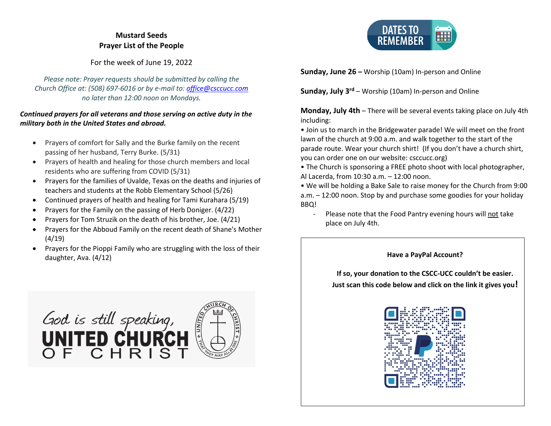#### **Mustard Seeds Prayer List of the People**

For the week of June 19, 2022

*Please note: Prayer requests should be submitted by calling the Church Office at: (508) 697-6016 or by e-mail to: [office@csccucc.com](mailto:office@csccucc.com) no later than 12:00 noon on Mondays.*

#### *Continued prayers for all veterans and those serving on active duty in the military both in the United States and abroad.*

- Prayers of comfort for Sally and the Burke family on the recent passing of her husband, Terry Burke. (5/31)
- Prayers of health and healing for those church members and local residents who are suffering from COVID (5/31)
- Prayers for the families of Uvalde, Texas on the deaths and injuries of teachers and students at the Robb Elementary School (5/26)
- Continued prayers of health and healing for Tami Kurahara (5/19)
- Prayers for the Family on the passing of Herb Doniger. (4/22)
- Prayers for Tom Struzik on the death of his brother, Joe. (4/21)
- Prayers for the Abboud Family on the recent death of Shane's Mother (4/19)
- Prayers for the Pioppi Family who are struggling with the loss of their daughter, Ava. (4/12)







**Sunday, June 26 –** Worship (10am) In-person and Online

**Sunday, July 3rd** – Worship (10am) In-person and Online

**Monday, July 4th** – There will be several events taking place on July 4th including:

• Join us to march in the Bridgewater parade! We will meet on the front lawn of the church at 9:00 a.m. and walk together to the start of the parade route. Wear your church shirt! (If you don't have a church shirt, you can order one on our website: csccucc.org)

• The Church is sponsoring a FREE photo shoot with local photographer, Al Lacerda, from 10:30 a.m. – 12:00 noon.

• We will be holding a Bake Sale to raise money for the Church from 9:00 a.m. – 12:00 noon. Stop by and purchase some goodies for your holiday BBQ!

- Please note that the Food Pantry evening hours will not take place on July 4th.

#### **Have a PayPal Account?**

**If so, your donation to the CSCC-UCC couldn't be easier. Just scan this code below and click on the link it gives you!**

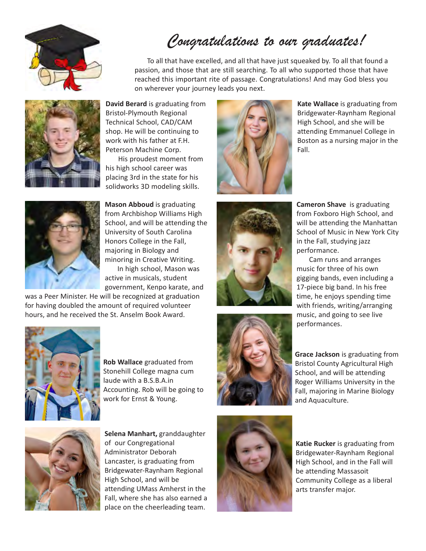

# *Congratulations to our graduates!*

To all that have excelled, and all that have just squeaked by. To all that found a passion, and those that are still searching. To all who supported those that have reached this important rite of passage. Congratulations! And may God bless you on wherever your journey leads you next.



**David Berard** is graduating from Bristol-Plymouth Regional Technical School, CAD/CAM shop. He will be continuing to work with his father at F.H. Peterson Machine Corp.

His proudest moment from his high school career was placing 3rd in the state for his solidworks 3D modeling skills.



**Mason Abboud** is graduating from Archbishop Williams High School, and will be attending the University of South Carolina Honors College in the Fall, majoring in Biology and minoring in Creative Writing. In high school, Mason was

active in musicals, student government, Kenpo karate, and

was a Peer Minister. He will be recognized at graduation for having doubled the amount of required volunteer hours, and he received the St. Anselm Book Award.



**Rob Wallace** graduated from Stonehill College magna cum laude with a B.S.B.A.in Accounting. Rob will be going to work for Ernst & Young.



**Selena Manhart,** granddaughter of our Congregational Administrator Deborah Lancaster, is graduating from Bridgewater-Raynham Regional High School, and will be attending UMass Amherst in the Fall, where she has also earned a place on the cheerleading team.



**Kate Wallace** is graduating from Bridgewater-Raynham Regional High School, and she will be attending Emmanuel College in Boston as a nursing major in the Fall.





**Cameron Shave** is graduating from Foxboro High School, and will be attending the Manhattan School of Music in New York City in the Fall, studying jazz performance.

Cam runs and arranges music for three of his own gigging bands, even including a 17-piece big band. In his free time, he enjoys spending time with friends, writing/arranging music, and going to see live performances.

**Grace Jackson** is graduating from Bristol County Agricultural High School, and will be attending Roger Williams University in the Fall, majoring in Marine Biology and Aquaculture.



**Katie Rucker** is graduating from Bridgewater-Raynham Regional High School, and in the Fall will be attending Massasoit Community College as a liberal arts transfer major.